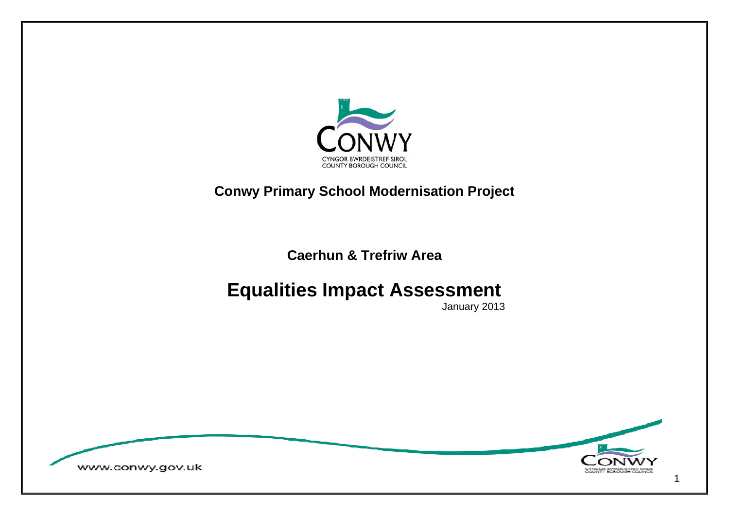

### **Conwy Primary School Modernisation Project**

**Caerhun & Trefriw Area** 

# **Equalities Impact Assessment**

January 2013

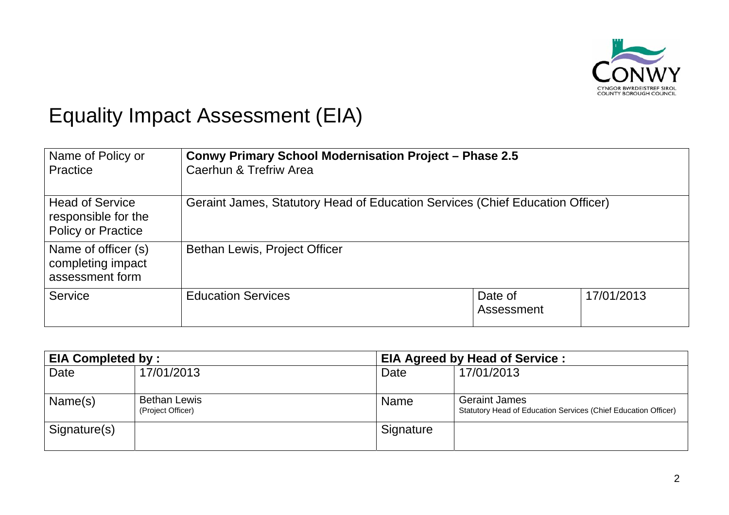

# Equality Impact Assessment (EIA)

| Name of Policy or<br>Practice                                              | Conwy Primary School Modernisation Project - Phase 2.5<br>Caerhun & Trefriw Area |                       |            |
|----------------------------------------------------------------------------|----------------------------------------------------------------------------------|-----------------------|------------|
| <b>Head of Service</b><br>responsible for the<br><b>Policy or Practice</b> | Geraint James, Statutory Head of Education Services (Chief Education Officer)    |                       |            |
| Name of officer (s)<br>completing impact<br>assessment form                | Bethan Lewis, Project Officer                                                    |                       |            |
| Service                                                                    | <b>Education Services</b>                                                        | Date of<br>Assessment | 17/01/2013 |

| <b>EIA Completed by:</b> |                                          | <b>EIA Agreed by Head of Service:</b> |                                                                                        |
|--------------------------|------------------------------------------|---------------------------------------|----------------------------------------------------------------------------------------|
| Date                     | 17/01/2013                               | Date                                  | 17/01/2013                                                                             |
| Name(s)                  | <b>Bethan Lewis</b><br>(Project Officer) | <b>Name</b>                           | <b>Geraint James</b><br>Statutory Head of Education Services (Chief Education Officer) |
| Signature(s)             |                                          | Signature                             |                                                                                        |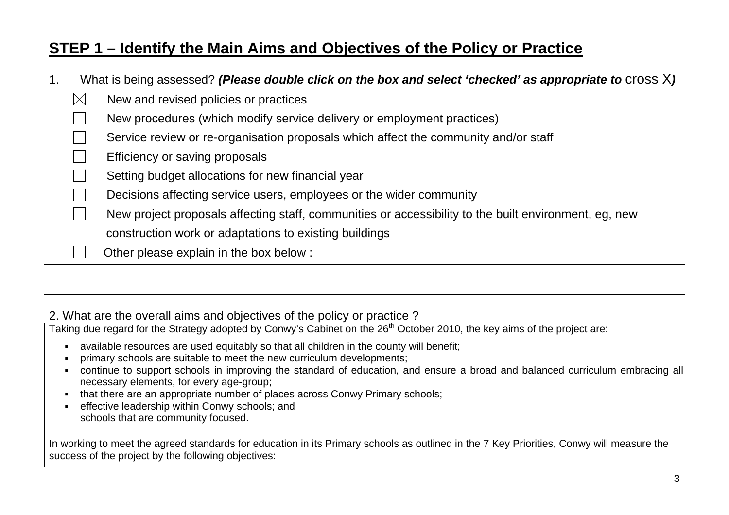# **STEP 1 – Identify the Main Aims and Objectives of the Policy or Practice**

1. What is being assessed? *(Please double click on the box and select 'checked' as appropriate to* cross X*)* 

- $\times$  New and revised policies or practices
	- New procedures (which modify service delivery or employment practices)
- Service review or re-organisation proposals which affect the community and/or staff
- Efficiency or saving proposals
- Setting budget allocations for new financial year
- Decisions affecting service users, employees or the wider community
	- New project proposals affecting staff, communities or accessibility to the built environment, eg, new construction work or adaptations to existing buildings
		- Other please explain in the box below :

#### 2. What are the overall aims and objectives of the policy or practice ?

Taking due regard for the Strategy adopted by Conwy's Cabinet on the 26<sup>th</sup> October 2010, the key aims of the project are:

- г available resources are used equitably so that all children in the county will benefit;
- primary schools are suitable to meet the new curriculum developments;
- continue to support schools in improving the standard of education, and ensure a broad and balanced curriculum embracing all necessary elements, for every age-group;
- that there are an appropriate number of places across Conwy Primary schools;
- г effective leadership within Conwy schools; and schools that are community focused.

In working to meet the agreed standards for education in its Primary schools as outlined in the 7 Key Priorities, Conwy will measure the success of the project by the following objectives: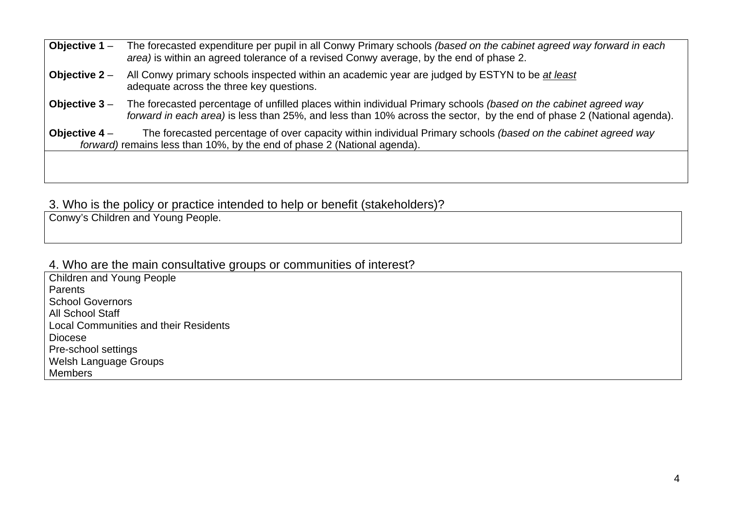| Objective $1 -$ | The forecasted expenditure per pupil in all Conwy Primary schools (based on the cabinet agreed way forward in each<br>area) is within an agreed tolerance of a revised Conwy average, by the end of phase 2.                             |
|-----------------|------------------------------------------------------------------------------------------------------------------------------------------------------------------------------------------------------------------------------------------|
| Objective $2 -$ | All Conwy primary schools inspected within an academic year are judged by ESTYN to be at least<br>adequate across the three key questions.                                                                                               |
| Objective $3 -$ | The forecasted percentage of unfilled places within individual Primary schools (based on the cabinet agreed way<br>forward in each area) is less than 25%, and less than 10% across the sector, by the end of phase 2 (National agenda). |
| Objective $4 -$ | The forecasted percentage of over capacity within individual Primary schools (based on the cabinet agreed way<br>forward) remains less than 10%, by the end of phase 2 (National agenda).                                                |

3. Who is the policy or practice intended to help or benefit (stakeholders)?

Conwy's Children and Young People.

#### 4. Who are the main consultative groups or communities of interest?

Children and Young People Parents School Governors All School Staff Local Communities and their Residents Diocese Pre-school settings Welsh Language Groups Members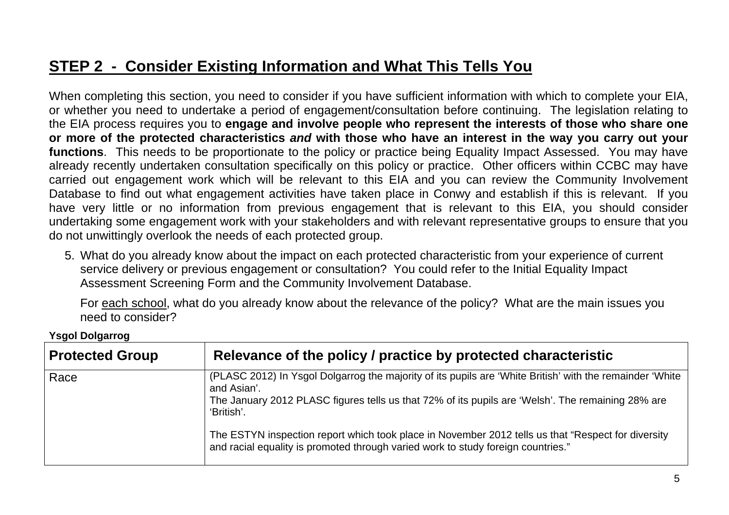### **STEP 2 - Consider Existing Information and What This Tells You**

When completing this section, you need to consider if you have sufficient information with which to complete your EIA, or whether you need to undertake a period of engagement/consultation before continuing. The legislation relating to the EIA process requires you to **engage and involve people who represent the interests of those who share one or more of the protected characteristics** *and* **with those who have an interest in the way you carry out your functions**. This needs to be proportionate to the policy or practice being Equality Impact Assessed. You may have already recently undertaken consultation specifically on this policy or practice. Other officers within CCBC may have carried out engagement work which will be relevant to this EIA and you can review the Community Involvement Database to find out what engagement activities have taken place in Conwy and establish if this is relevant. If you have very little or no information from previous engagement that is relevant to this EIA, you should consider undertaking some engagement work with your stakeholders and with relevant representative groups to ensure that you do not unwittingly overlook the needs of each protected group.

5. What do you already know about the impact on each protected characteristic from your experience of current service delivery or previous engagement or consultation? You could refer to the Initial Equality Impact Assessment Screening Form and the Community Involvement Database.

For each school, what do you already know about the relevance of the policy? What are the main issues you need to consider?

| <b>Protected Group</b> | Relevance of the policy / practice by protected characteristic                                                                                                                                                                             |
|------------------------|--------------------------------------------------------------------------------------------------------------------------------------------------------------------------------------------------------------------------------------------|
| Race                   | (PLASC 2012) In Ysgol Dolgarrog the majority of its pupils are 'White British' with the remainder 'White<br>and Asian'.<br>The January 2012 PLASC figures tells us that 72% of its pupils are 'Welsh'. The remaining 28% are<br>'British'. |
|                        | The ESTYN inspection report which took place in November 2012 tells us that "Respect for diversity<br>and racial equality is promoted through varied work to study foreign countries."                                                     |

#### **Ysgol Dolgarrog**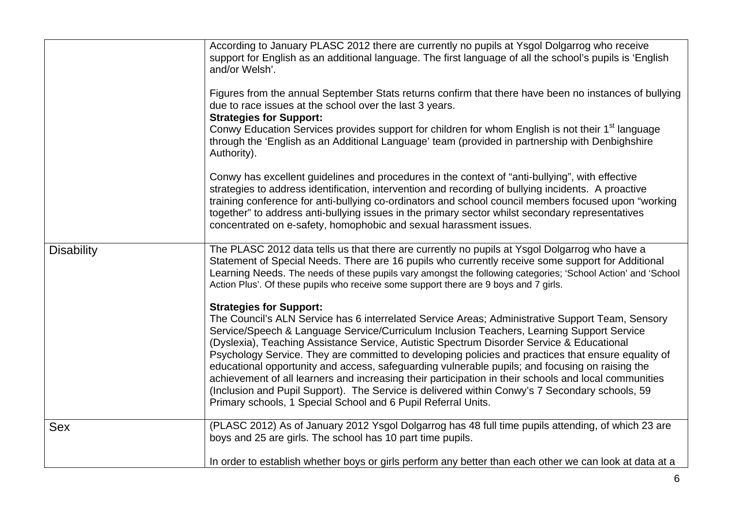|                   | According to January PLASC 2012 there are currently no pupils at Ysgol Dolgarrog who receive<br>support for English as an additional language. The first language of all the school's pupils is 'English<br>and/or Welsh'.                                                                                                                                                                                                                                                                                                                                                                                                                                                                                                                                                                                         |
|-------------------|--------------------------------------------------------------------------------------------------------------------------------------------------------------------------------------------------------------------------------------------------------------------------------------------------------------------------------------------------------------------------------------------------------------------------------------------------------------------------------------------------------------------------------------------------------------------------------------------------------------------------------------------------------------------------------------------------------------------------------------------------------------------------------------------------------------------|
|                   | Figures from the annual September Stats returns confirm that there have been no instances of bullying<br>due to race issues at the school over the last 3 years.<br><b>Strategies for Support:</b>                                                                                                                                                                                                                                                                                                                                                                                                                                                                                                                                                                                                                 |
|                   | Conwy Education Services provides support for children for whom English is not their 1 <sup>st</sup> language<br>through the 'English as an Additional Language' team (provided in partnership with Denbighshire<br>Authority).                                                                                                                                                                                                                                                                                                                                                                                                                                                                                                                                                                                    |
|                   | Conwy has excellent guidelines and procedures in the context of "anti-bullying", with effective<br>strategies to address identification, intervention and recording of bullying incidents. A proactive<br>training conference for anti-bullying co-ordinators and school council members focused upon "working<br>together" to address anti-bullying issues in the primary sector whilst secondary representatives<br>concentrated on e-safety, homophobic and sexual harassment issues.                                                                                                                                                                                                                                                                                                                           |
| <b>Disability</b> | The PLASC 2012 data tells us that there are currently no pupils at Ysgol Dolgarrog who have a<br>Statement of Special Needs. There are 16 pupils who currently receive some support for Additional<br>Learning Needs. The needs of these pupils vary amongst the following categories; 'School Action' and 'School<br>Action Plus'. Of these pupils who receive some support there are 9 boys and 7 girls.                                                                                                                                                                                                                                                                                                                                                                                                         |
|                   | <b>Strategies for Support:</b><br>The Council's ALN Service has 6 interrelated Service Areas; Administrative Support Team, Sensory<br>Service/Speech & Language Service/Curriculum Inclusion Teachers, Learning Support Service<br>(Dyslexia), Teaching Assistance Service, Autistic Spectrum Disorder Service & Educational<br>Psychology Service. They are committed to developing policies and practices that ensure equality of<br>educational opportunity and access, safeguarding vulnerable pupils; and focusing on raising the<br>achievement of all learners and increasing their participation in their schools and local communities<br>(Inclusion and Pupil Support). The Service is delivered within Conwy's 7 Secondary schools, 59<br>Primary schools, 1 Special School and 6 Pupil Referral Units. |
| <b>Sex</b>        | (PLASC 2012) As of January 2012 Ysgol Dolgarrog has 48 full time pupils attending, of which 23 are<br>boys and 25 are girls. The school has 10 part time pupils.                                                                                                                                                                                                                                                                                                                                                                                                                                                                                                                                                                                                                                                   |
|                   | In order to establish whether boys or girls perform any better than each other we can look at data at a                                                                                                                                                                                                                                                                                                                                                                                                                                                                                                                                                                                                                                                                                                            |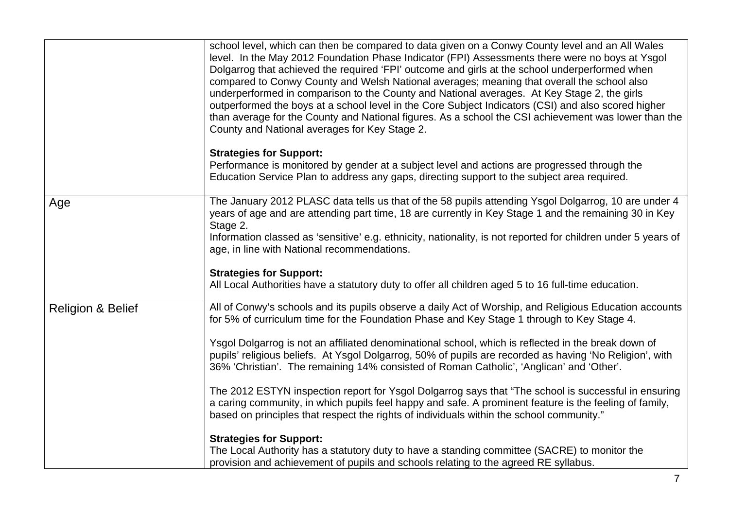|                              | school level, which can then be compared to data given on a Conwy County level and an All Wales<br>level. In the May 2012 Foundation Phase Indicator (FPI) Assessments there were no boys at Ysgol<br>Dolgarrog that achieved the required 'FPI' outcome and girls at the school underperformed when<br>compared to Conwy County and Welsh National averages; meaning that overall the school also<br>underperformed in comparison to the County and National averages. At Key Stage 2, the girls<br>outperformed the boys at a school level in the Core Subject Indicators (CSI) and also scored higher<br>than average for the County and National figures. As a school the CSI achievement was lower than the<br>County and National averages for Key Stage 2. |
|------------------------------|-------------------------------------------------------------------------------------------------------------------------------------------------------------------------------------------------------------------------------------------------------------------------------------------------------------------------------------------------------------------------------------------------------------------------------------------------------------------------------------------------------------------------------------------------------------------------------------------------------------------------------------------------------------------------------------------------------------------------------------------------------------------|
|                              | <b>Strategies for Support:</b><br>Performance is monitored by gender at a subject level and actions are progressed through the<br>Education Service Plan to address any gaps, directing support to the subject area required.                                                                                                                                                                                                                                                                                                                                                                                                                                                                                                                                     |
| Age                          | The January 2012 PLASC data tells us that of the 58 pupils attending Ysgol Dolgarrog, 10 are under 4<br>years of age and are attending part time, 18 are currently in Key Stage 1 and the remaining 30 in Key<br>Stage 2.<br>Information classed as 'sensitive' e.g. ethnicity, nationality, is not reported for children under 5 years of<br>age, in line with National recommendations.                                                                                                                                                                                                                                                                                                                                                                         |
|                              | <b>Strategies for Support:</b><br>All Local Authorities have a statutory duty to offer all children aged 5 to 16 full-time education.                                                                                                                                                                                                                                                                                                                                                                                                                                                                                                                                                                                                                             |
| <b>Religion &amp; Belief</b> | All of Conwy's schools and its pupils observe a daily Act of Worship, and Religious Education accounts<br>for 5% of curriculum time for the Foundation Phase and Key Stage 1 through to Key Stage 4.                                                                                                                                                                                                                                                                                                                                                                                                                                                                                                                                                              |
|                              | Ysgol Dolgarrog is not an affiliated denominational school, which is reflected in the break down of<br>pupils' religious beliefs. At Ysgol Dolgarrog, 50% of pupils are recorded as having 'No Religion', with<br>36% 'Christian'. The remaining 14% consisted of Roman Catholic', 'Anglican' and 'Other'.                                                                                                                                                                                                                                                                                                                                                                                                                                                        |
|                              | The 2012 ESTYN inspection report for Ysgol Dolgarrog says that "The school is successful in ensuring<br>a caring community, in which pupils feel happy and safe. A prominent feature is the feeling of family,<br>based on principles that respect the rights of individuals within the school community."                                                                                                                                                                                                                                                                                                                                                                                                                                                        |
|                              | <b>Strategies for Support:</b><br>The Local Authority has a statutory duty to have a standing committee (SACRE) to monitor the<br>provision and achievement of pupils and schools relating to the agreed RE syllabus.                                                                                                                                                                                                                                                                                                                                                                                                                                                                                                                                             |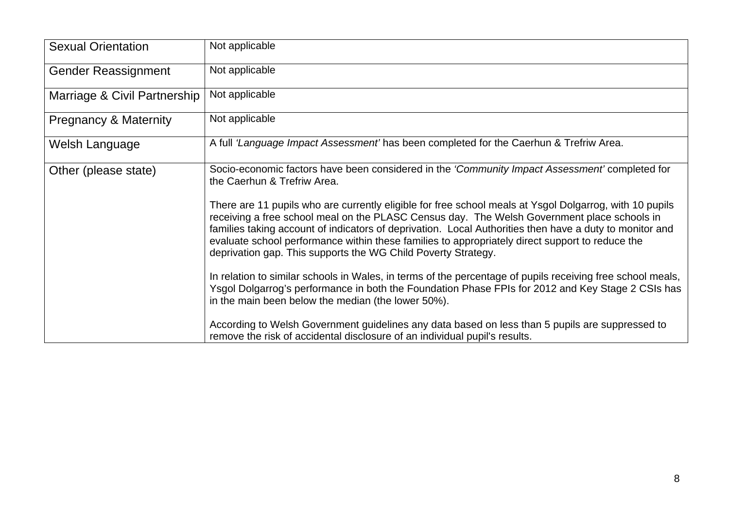| <b>Sexual Orientation</b>        | Not applicable                                                                                                                                                                                                                                                                                                                                                                                                                                                                        |
|----------------------------------|---------------------------------------------------------------------------------------------------------------------------------------------------------------------------------------------------------------------------------------------------------------------------------------------------------------------------------------------------------------------------------------------------------------------------------------------------------------------------------------|
| <b>Gender Reassignment</b>       | Not applicable                                                                                                                                                                                                                                                                                                                                                                                                                                                                        |
| Marriage & Civil Partnership     | Not applicable                                                                                                                                                                                                                                                                                                                                                                                                                                                                        |
| <b>Pregnancy &amp; Maternity</b> | Not applicable                                                                                                                                                                                                                                                                                                                                                                                                                                                                        |
| <b>Welsh Language</b>            | A full 'Language Impact Assessment' has been completed for the Caerhun & Trefriw Area.                                                                                                                                                                                                                                                                                                                                                                                                |
| Other (please state)             | Socio-economic factors have been considered in the 'Community Impact Assessment' completed for<br>the Caerhun & Trefriw Area.                                                                                                                                                                                                                                                                                                                                                         |
|                                  | There are 11 pupils who are currently eligible for free school meals at Ysgol Dolgarrog, with 10 pupils<br>receiving a free school meal on the PLASC Census day. The Welsh Government place schools in<br>families taking account of indicators of deprivation. Local Authorities then have a duty to monitor and<br>evaluate school performance within these families to appropriately direct support to reduce the<br>deprivation gap. This supports the WG Child Poverty Strategy. |
|                                  | In relation to similar schools in Wales, in terms of the percentage of pupils receiving free school meals,<br>Ysgol Dolgarrog's performance in both the Foundation Phase FPIs for 2012 and Key Stage 2 CSIs has<br>in the main been below the median (the lower 50%).                                                                                                                                                                                                                 |
|                                  | According to Welsh Government guidelines any data based on less than 5 pupils are suppressed to<br>remove the risk of accidental disclosure of an individual pupil's results.                                                                                                                                                                                                                                                                                                         |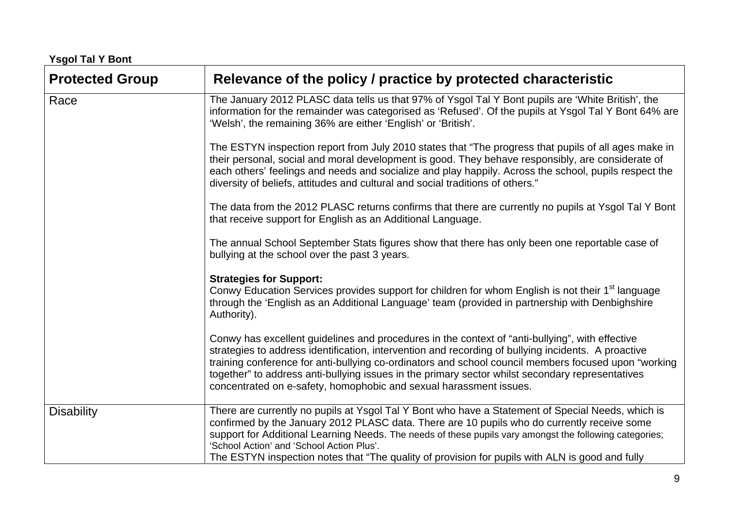| <b>Ysgol Tal Y Bont</b> |                                                                                                                                                                                                                                                                                                                                                                                                                                                                                          |
|-------------------------|------------------------------------------------------------------------------------------------------------------------------------------------------------------------------------------------------------------------------------------------------------------------------------------------------------------------------------------------------------------------------------------------------------------------------------------------------------------------------------------|
| <b>Protected Group</b>  | Relevance of the policy / practice by protected characteristic                                                                                                                                                                                                                                                                                                                                                                                                                           |
| Race                    | The January 2012 PLASC data tells us that 97% of Ysgol Tal Y Bont pupils are 'White British', the<br>information for the remainder was categorised as 'Refused'. Of the pupils at Ysgol Tal Y Bont 64% are<br>'Welsh', the remaining 36% are either 'English' or 'British'.                                                                                                                                                                                                              |
|                         | The ESTYN inspection report from July 2010 states that "The progress that pupils of all ages make in<br>their personal, social and moral development is good. They behave responsibly, are considerate of<br>each others' feelings and needs and socialize and play happily. Across the school, pupils respect the<br>diversity of beliefs, attitudes and cultural and social traditions of others."                                                                                     |
|                         | The data from the 2012 PLASC returns confirms that there are currently no pupils at Ysgol Tal Y Bont<br>that receive support for English as an Additional Language.                                                                                                                                                                                                                                                                                                                      |
|                         | The annual School September Stats figures show that there has only been one reportable case of<br>bullying at the school over the past 3 years.                                                                                                                                                                                                                                                                                                                                          |
|                         | <b>Strategies for Support:</b><br>Conwy Education Services provides support for children for whom English is not their 1 <sup>st</sup> language<br>through the 'English as an Additional Language' team (provided in partnership with Denbighshire<br>Authority).                                                                                                                                                                                                                        |
|                         | Conwy has excellent guidelines and procedures in the context of "anti-bullying", with effective<br>strategies to address identification, intervention and recording of bullying incidents. A proactive<br>training conference for anti-bullying co-ordinators and school council members focused upon "working<br>together" to address anti-bullying issues in the primary sector whilst secondary representatives<br>concentrated on e-safety, homophobic and sexual harassment issues. |
| <b>Disability</b>       | There are currently no pupils at Ysgol Tal Y Bont who have a Statement of Special Needs, which is<br>confirmed by the January 2012 PLASC data. There are 10 pupils who do currently receive some<br>support for Additional Learning Needs. The needs of these pupils vary amongst the following categories;<br>'School Action' and 'School Action Plus'.<br>The ESTYN inspection notes that "The quality of provision for pupils with ALN is good and fully                              |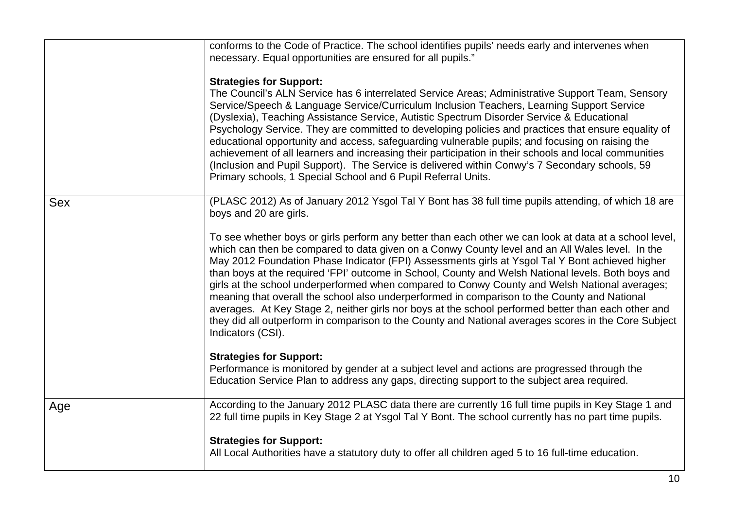|            | conforms to the Code of Practice. The school identifies pupils' needs early and intervenes when<br>necessary. Equal opportunities are ensured for all pupils."                                                                                                                                                                                                                                                                                                                                                                                                                                                                                                                                                                                                                                                                                          |
|------------|---------------------------------------------------------------------------------------------------------------------------------------------------------------------------------------------------------------------------------------------------------------------------------------------------------------------------------------------------------------------------------------------------------------------------------------------------------------------------------------------------------------------------------------------------------------------------------------------------------------------------------------------------------------------------------------------------------------------------------------------------------------------------------------------------------------------------------------------------------|
|            | <b>Strategies for Support:</b><br>The Council's ALN Service has 6 interrelated Service Areas; Administrative Support Team, Sensory<br>Service/Speech & Language Service/Curriculum Inclusion Teachers, Learning Support Service<br>(Dyslexia), Teaching Assistance Service, Autistic Spectrum Disorder Service & Educational<br>Psychology Service. They are committed to developing policies and practices that ensure equality of<br>educational opportunity and access, safeguarding vulnerable pupils; and focusing on raising the<br>achievement of all learners and increasing their participation in their schools and local communities<br>(Inclusion and Pupil Support). The Service is delivered within Conwy's 7 Secondary schools, 59<br>Primary schools, 1 Special School and 6 Pupil Referral Units.                                      |
| <b>Sex</b> | (PLASC 2012) As of January 2012 Ysgol Tal Y Bont has 38 full time pupils attending, of which 18 are<br>boys and 20 are girls.                                                                                                                                                                                                                                                                                                                                                                                                                                                                                                                                                                                                                                                                                                                           |
|            | To see whether boys or girls perform any better than each other we can look at data at a school level,<br>which can then be compared to data given on a Conwy County level and an All Wales level. In the<br>May 2012 Foundation Phase Indicator (FPI) Assessments girls at Ysgol Tal Y Bont achieved higher<br>than boys at the required 'FPI' outcome in School, County and Welsh National levels. Both boys and<br>girls at the school underperformed when compared to Conwy County and Welsh National averages;<br>meaning that overall the school also underperformed in comparison to the County and National<br>averages. At Key Stage 2, neither girls nor boys at the school performed better than each other and<br>they did all outperform in comparison to the County and National averages scores in the Core Subject<br>Indicators (CSI). |
|            | <b>Strategies for Support:</b><br>Performance is monitored by gender at a subject level and actions are progressed through the<br>Education Service Plan to address any gaps, directing support to the subject area required.                                                                                                                                                                                                                                                                                                                                                                                                                                                                                                                                                                                                                           |
| Age        | According to the January 2012 PLASC data there are currently 16 full time pupils in Key Stage 1 and<br>22 full time pupils in Key Stage 2 at Ysgol Tal Y Bont. The school currently has no part time pupils.                                                                                                                                                                                                                                                                                                                                                                                                                                                                                                                                                                                                                                            |
|            | <b>Strategies for Support:</b><br>All Local Authorities have a statutory duty to offer all children aged 5 to 16 full-time education.                                                                                                                                                                                                                                                                                                                                                                                                                                                                                                                                                                                                                                                                                                                   |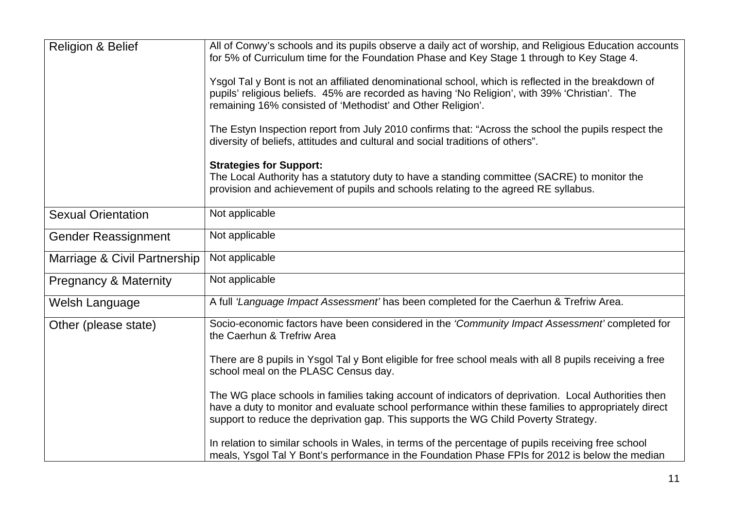| <b>Religion &amp; Belief</b>     | All of Conwy's schools and its pupils observe a daily act of worship, and Religious Education accounts<br>for 5% of Curriculum time for the Foundation Phase and Key Stage 1 through to Key Stage 4.<br>Ysgol Tal y Bont is not an affiliated denominational school, which is reflected in the breakdown of<br>pupils' religious beliefs. 45% are recorded as having 'No Religion', with 39% 'Christian'. The<br>remaining 16% consisted of 'Methodist' and Other Religion'.<br>The Estyn Inspection report from July 2010 confirms that: "Across the school the pupils respect the<br>diversity of beliefs, attitudes and cultural and social traditions of others".<br><b>Strategies for Support:</b><br>The Local Authority has a statutory duty to have a standing committee (SACRE) to monitor the |
|----------------------------------|---------------------------------------------------------------------------------------------------------------------------------------------------------------------------------------------------------------------------------------------------------------------------------------------------------------------------------------------------------------------------------------------------------------------------------------------------------------------------------------------------------------------------------------------------------------------------------------------------------------------------------------------------------------------------------------------------------------------------------------------------------------------------------------------------------|
|                                  | provision and achievement of pupils and schools relating to the agreed RE syllabus.                                                                                                                                                                                                                                                                                                                                                                                                                                                                                                                                                                                                                                                                                                                     |
| <b>Sexual Orientation</b>        | Not applicable                                                                                                                                                                                                                                                                                                                                                                                                                                                                                                                                                                                                                                                                                                                                                                                          |
| <b>Gender Reassignment</b>       | Not applicable                                                                                                                                                                                                                                                                                                                                                                                                                                                                                                                                                                                                                                                                                                                                                                                          |
| Marriage & Civil Partnership     | Not applicable                                                                                                                                                                                                                                                                                                                                                                                                                                                                                                                                                                                                                                                                                                                                                                                          |
| <b>Pregnancy &amp; Maternity</b> | Not applicable                                                                                                                                                                                                                                                                                                                                                                                                                                                                                                                                                                                                                                                                                                                                                                                          |
| <b>Welsh Language</b>            | A full 'Language Impact Assessment' has been completed for the Caerhun & Trefriw Area.                                                                                                                                                                                                                                                                                                                                                                                                                                                                                                                                                                                                                                                                                                                  |
| Other (please state)             | Socio-economic factors have been considered in the 'Community Impact Assessment' completed for<br>the Caerhun & Trefriw Area                                                                                                                                                                                                                                                                                                                                                                                                                                                                                                                                                                                                                                                                            |
|                                  | There are 8 pupils in Ysgol Tal y Bont eligible for free school meals with all 8 pupils receiving a free<br>school meal on the PLASC Census day.                                                                                                                                                                                                                                                                                                                                                                                                                                                                                                                                                                                                                                                        |
|                                  | The WG place schools in families taking account of indicators of deprivation. Local Authorities then<br>have a duty to monitor and evaluate school performance within these families to appropriately direct<br>support to reduce the deprivation gap. This supports the WG Child Poverty Strategy.                                                                                                                                                                                                                                                                                                                                                                                                                                                                                                     |
|                                  | In relation to similar schools in Wales, in terms of the percentage of pupils receiving free school<br>meals, Ysgol Tal Y Bont's performance in the Foundation Phase FPIs for 2012 is below the median                                                                                                                                                                                                                                                                                                                                                                                                                                                                                                                                                                                                  |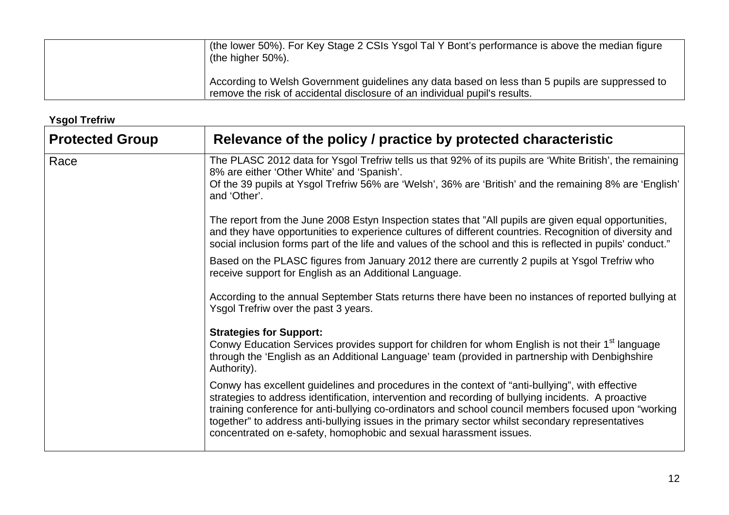| (the lower 50%). For Key Stage 2 CSIs Ysgol Tal Y Bont's performance is above the median figure<br>(the higher $50\%$ ).                                                      |
|-------------------------------------------------------------------------------------------------------------------------------------------------------------------------------|
| According to Welsh Government guidelines any data based on less than 5 pupils are suppressed to<br>remove the risk of accidental disclosure of an individual pupil's results. |

### **Ysgol Trefriw**

| <b>Protected Group</b> | Relevance of the policy / practice by protected characteristic                                                                                                                                                                                                                                                                                                                                                                                                                           |
|------------------------|------------------------------------------------------------------------------------------------------------------------------------------------------------------------------------------------------------------------------------------------------------------------------------------------------------------------------------------------------------------------------------------------------------------------------------------------------------------------------------------|
| Race                   | The PLASC 2012 data for Ysgol Trefriw tells us that 92% of its pupils are 'White British', the remaining<br>8% are either 'Other White' and 'Spanish'.<br>Of the 39 pupils at Ysgol Trefriw 56% are 'Welsh', 36% are 'British' and the remaining 8% are 'English'<br>and 'Other'.                                                                                                                                                                                                        |
|                        |                                                                                                                                                                                                                                                                                                                                                                                                                                                                                          |
|                        | The report from the June 2008 Estyn Inspection states that "All pupils are given equal opportunities,<br>and they have opportunities to experience cultures of different countries. Recognition of diversity and<br>social inclusion forms part of the life and values of the school and this is reflected in pupils' conduct."                                                                                                                                                          |
|                        | Based on the PLASC figures from January 2012 there are currently 2 pupils at Ysgol Trefriw who<br>receive support for English as an Additional Language.                                                                                                                                                                                                                                                                                                                                 |
|                        | According to the annual September Stats returns there have been no instances of reported bullying at<br>Ysgol Trefriw over the past 3 years.                                                                                                                                                                                                                                                                                                                                             |
|                        | <b>Strategies for Support:</b><br>Conwy Education Services provides support for children for whom English is not their 1 <sup>st</sup> language<br>through the 'English as an Additional Language' team (provided in partnership with Denbighshire<br>Authority).                                                                                                                                                                                                                        |
|                        | Conwy has excellent guidelines and procedures in the context of "anti-bullying", with effective<br>strategies to address identification, intervention and recording of bullying incidents. A proactive<br>training conference for anti-bullying co-ordinators and school council members focused upon "working<br>together" to address anti-bullying issues in the primary sector whilst secondary representatives<br>concentrated on e-safety, homophobic and sexual harassment issues. |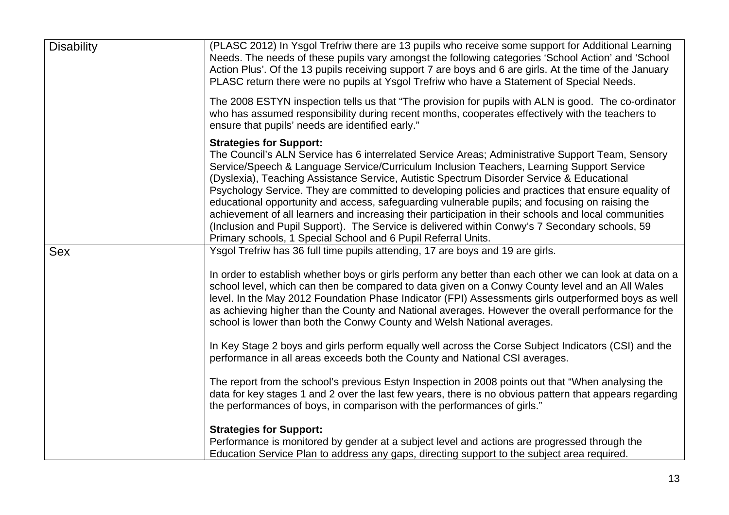| <b>Disability</b> | (PLASC 2012) In Ysgol Trefriw there are 13 pupils who receive some support for Additional Learning<br>Needs. The needs of these pupils vary amongst the following categories 'School Action' and 'School<br>Action Plus'. Of the 13 pupils receiving support 7 are boys and 6 are girls. At the time of the January<br>PLASC return there were no pupils at Ysgol Trefriw who have a Statement of Special Needs.                                                                                                                                                                                                                                                                                                                                                                                                   |  |  |  |  |
|-------------------|--------------------------------------------------------------------------------------------------------------------------------------------------------------------------------------------------------------------------------------------------------------------------------------------------------------------------------------------------------------------------------------------------------------------------------------------------------------------------------------------------------------------------------------------------------------------------------------------------------------------------------------------------------------------------------------------------------------------------------------------------------------------------------------------------------------------|--|--|--|--|
|                   | The 2008 ESTYN inspection tells us that "The provision for pupils with ALN is good. The co-ordinator<br>who has assumed responsibility during recent months, cooperates effectively with the teachers to<br>ensure that pupils' needs are identified early."                                                                                                                                                                                                                                                                                                                                                                                                                                                                                                                                                       |  |  |  |  |
|                   | <b>Strategies for Support:</b><br>The Council's ALN Service has 6 interrelated Service Areas; Administrative Support Team, Sensory<br>Service/Speech & Language Service/Curriculum Inclusion Teachers, Learning Support Service<br>(Dyslexia), Teaching Assistance Service, Autistic Spectrum Disorder Service & Educational<br>Psychology Service. They are committed to developing policies and practices that ensure equality of<br>educational opportunity and access, safeguarding vulnerable pupils; and focusing on raising the<br>achievement of all learners and increasing their participation in their schools and local communities<br>(Inclusion and Pupil Support). The Service is delivered within Conwy's 7 Secondary schools, 59<br>Primary schools, 1 Special School and 6 Pupil Referral Units. |  |  |  |  |
| <b>Sex</b>        | Ysgol Trefriw has 36 full time pupils attending, 17 are boys and 19 are girls.                                                                                                                                                                                                                                                                                                                                                                                                                                                                                                                                                                                                                                                                                                                                     |  |  |  |  |
|                   | In order to establish whether boys or girls perform any better than each other we can look at data on a<br>school level, which can then be compared to data given on a Conwy County level and an All Wales<br>level. In the May 2012 Foundation Phase Indicator (FPI) Assessments girls outperformed boys as well<br>as achieving higher than the County and National averages. However the overall performance for the<br>school is lower than both the Conwy County and Welsh National averages.                                                                                                                                                                                                                                                                                                                 |  |  |  |  |
|                   | In Key Stage 2 boys and girls perform equally well across the Corse Subject Indicators (CSI) and the<br>performance in all areas exceeds both the County and National CSI averages.                                                                                                                                                                                                                                                                                                                                                                                                                                                                                                                                                                                                                                |  |  |  |  |
|                   | The report from the school's previous Estyn Inspection in 2008 points out that "When analysing the<br>data for key stages 1 and 2 over the last few years, there is no obvious pattern that appears regarding<br>the performances of boys, in comparison with the performances of girls."                                                                                                                                                                                                                                                                                                                                                                                                                                                                                                                          |  |  |  |  |
|                   | <b>Strategies for Support:</b><br>Performance is monitored by gender at a subject level and actions are progressed through the<br>Education Service Plan to address any gaps, directing support to the subject area required.                                                                                                                                                                                                                                                                                                                                                                                                                                                                                                                                                                                      |  |  |  |  |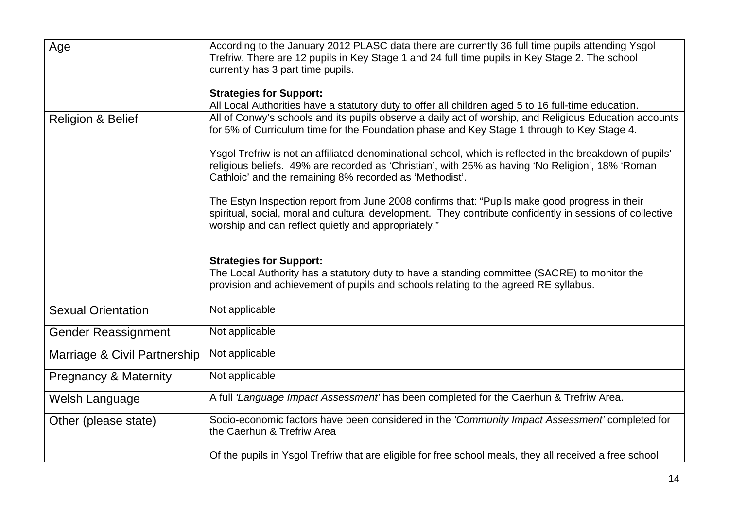| Age                              | According to the January 2012 PLASC data there are currently 36 full time pupils attending Ysgol<br>Trefriw. There are 12 pupils in Key Stage 1 and 24 full time pupils in Key Stage 2. The school<br>currently has 3 part time pupils.<br><b>Strategies for Support:</b> |  |  |  |  |  |
|----------------------------------|---------------------------------------------------------------------------------------------------------------------------------------------------------------------------------------------------------------------------------------------------------------------------|--|--|--|--|--|
|                                  | All Local Authorities have a statutory duty to offer all children aged 5 to 16 full-time education.                                                                                                                                                                       |  |  |  |  |  |
| <b>Religion &amp; Belief</b>     | All of Conwy's schools and its pupils observe a daily act of worship, and Religious Education accounts<br>for 5% of Curriculum time for the Foundation phase and Key Stage 1 through to Key Stage 4.                                                                      |  |  |  |  |  |
|                                  | Ysgol Trefriw is not an affiliated denominational school, which is reflected in the breakdown of pupils'<br>religious beliefs. 49% are recorded as 'Christian', with 25% as having 'No Religion', 18% 'Roman<br>Cathloic' and the remaining 8% recorded as 'Methodist'.   |  |  |  |  |  |
|                                  | The Estyn Inspection report from June 2008 confirms that: "Pupils make good progress in their<br>spiritual, social, moral and cultural development. They contribute confidently in sessions of collective<br>worship and can reflect quietly and appropriately."          |  |  |  |  |  |
|                                  | <b>Strategies for Support:</b><br>The Local Authority has a statutory duty to have a standing committee (SACRE) to monitor the<br>provision and achievement of pupils and schools relating to the agreed RE syllabus.                                                     |  |  |  |  |  |
| <b>Sexual Orientation</b>        | Not applicable                                                                                                                                                                                                                                                            |  |  |  |  |  |
| <b>Gender Reassignment</b>       | Not applicable                                                                                                                                                                                                                                                            |  |  |  |  |  |
| Marriage & Civil Partnership     | Not applicable                                                                                                                                                                                                                                                            |  |  |  |  |  |
| <b>Pregnancy &amp; Maternity</b> | Not applicable                                                                                                                                                                                                                                                            |  |  |  |  |  |
| <b>Welsh Language</b>            | A full 'Language Impact Assessment' has been completed for the Caerhun & Trefriw Area.                                                                                                                                                                                    |  |  |  |  |  |
| Other (please state)             | Socio-economic factors have been considered in the 'Community Impact Assessment' completed for<br>the Caerhun & Trefriw Area                                                                                                                                              |  |  |  |  |  |
|                                  | Of the pupils in Ysgol Trefriw that are eligible for free school meals, they all received a free school                                                                                                                                                                   |  |  |  |  |  |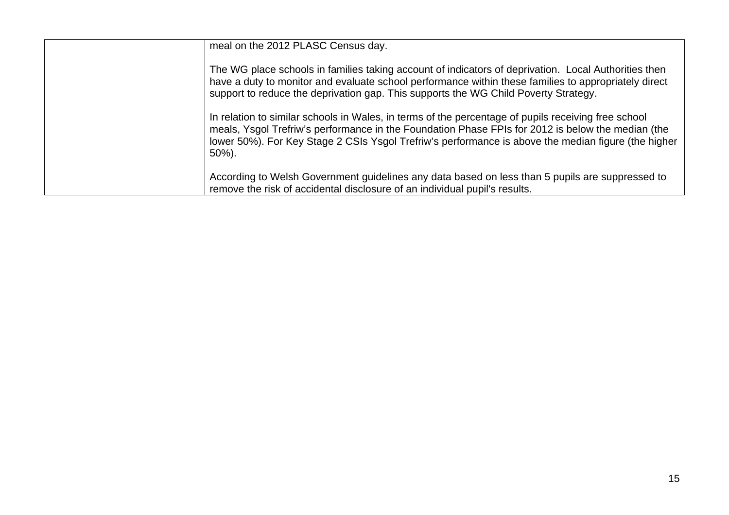| meal on the 2012 PLASC Census day.                                                                                                                                                                                                                                                                                           |
|------------------------------------------------------------------------------------------------------------------------------------------------------------------------------------------------------------------------------------------------------------------------------------------------------------------------------|
| The WG place schools in families taking account of indicators of deprivation. Local Authorities then<br>have a duty to monitor and evaluate school performance within these families to appropriately direct<br>support to reduce the deprivation gap. This supports the WG Child Poverty Strategy.                          |
| In relation to similar schools in Wales, in terms of the percentage of pupils receiving free school<br>meals, Ysgol Trefriw's performance in the Foundation Phase FPIs for 2012 is below the median (the<br>lower 50%). For Key Stage 2 CSIs Ysgol Trefriw's performance is above the median figure (the higher<br>$50\%$ ). |
| According to Welsh Government guidelines any data based on less than 5 pupils are suppressed to<br>remove the risk of accidental disclosure of an individual pupil's results.                                                                                                                                                |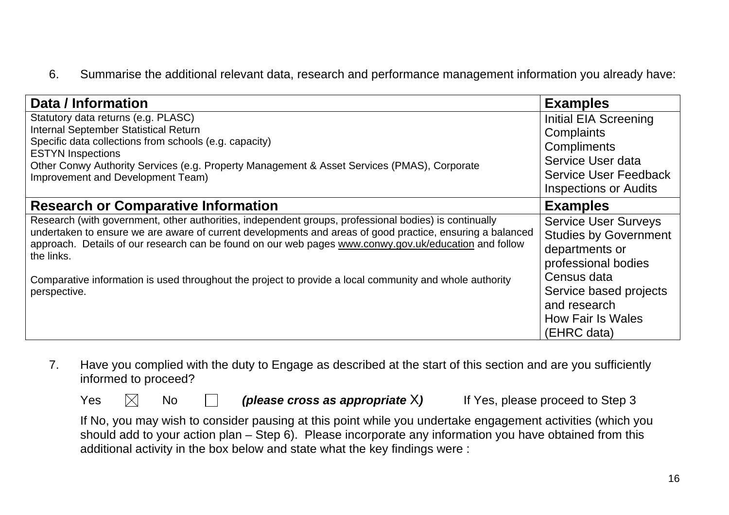6. Summarise the additional relevant data, research and performance management information you already have:

| Data / Information                                                                                                  | <b>Examples</b>              |
|---------------------------------------------------------------------------------------------------------------------|------------------------------|
| Statutory data returns (e.g. PLASC)                                                                                 | Initial EIA Screening        |
| <b>Internal September Statistical Return</b>                                                                        | Complaints                   |
| Specific data collections from schools (e.g. capacity)<br><b>ESTYN Inspections</b>                                  | <b>Compliments</b>           |
| Other Conwy Authority Services (e.g. Property Management & Asset Services (PMAS), Corporate                         | Service User data            |
| Improvement and Development Team)                                                                                   | <b>Service User Feedback</b> |
|                                                                                                                     | <b>Inspections or Audits</b> |
| <b>Research or Comparative Information</b>                                                                          | <b>Examples</b>              |
| Research (with government, other authorities, independent groups, professional bodies) is continually               | <b>Service User Surveys</b>  |
| undertaken to ensure we are aware of current developments and areas of good practice, ensuring a balanced           | <b>Studies by Government</b> |
| approach. Details of our research can be found on our web pages www.conwy.gov.uk/education and follow<br>the links. | departments or               |
|                                                                                                                     | professional bodies          |
| Comparative information is used throughout the project to provide a local community and whole authority             | Census data                  |
| perspective.                                                                                                        | Service based projects       |
|                                                                                                                     | and research                 |
|                                                                                                                     | <b>How Fair Is Wales</b>     |
|                                                                                                                     | (EHRC data)                  |

7. Have you complied with the duty to Engage as described at the start of this section and are you sufficiently informed to proceed?

| res |  |
|-----|--|
|     |  |

Yes  $\boxtimes$  No  $\Box$  (please cross as appropriate X) If Yes, please proceed to Step 3

If No, you may wish to consider pausing at this point while you undertake engagement activities (which you should add to your action plan – Step 6). Please incorporate any information you have obtained from this additional activity in the box below and state what the key findings were :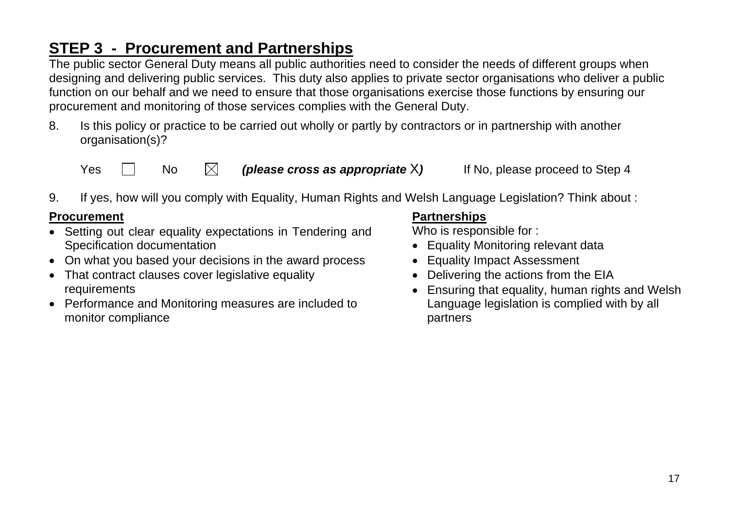# **STEP 3 - Procurement and Partnerships**

The public sector General Duty means all public authorities need to consider the needs of different groups when designing and delivering public services. This duty also applies to private sector organisations who deliver a public function on our behalf and we need to ensure that those organisations exercise those functions by ensuring our procurement and monitoring of those services complies with the General Duty.

8. Is this policy or practice to be carried out wholly or partly by contractors or in partnership with another organisation(s)?

Yes  $\Box$  No  $\boxtimes$  (please cross as appropriate X)

*If No, please proceed to Step 4* 

9. If yes, how will you comply with Equality, Human Rights and Welsh Language Legislation? Think about :

#### **Procurement**

- Setting out clear equality expectations in Tendering and Specification documentation
- On what you based your decisions in the award process
- That contract clauses cover legislative equality requirements
- Performance and Monitoring measures are included to monitor compliance

#### **Partnerships**

Who is responsible for :

- Equality Monitoring relevant data
- Equality Impact Assessment
- Delivering the actions from the EIA
- Ensuring that equality, human rights and Welsh Language legislation is complied with by all partners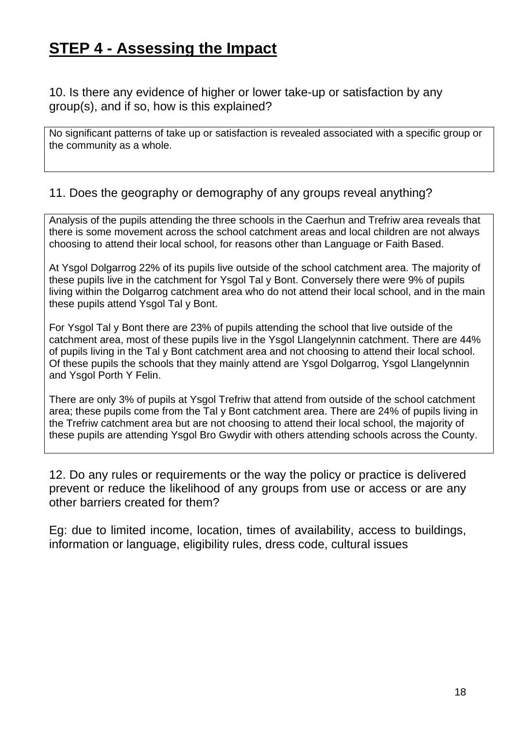### **STEP 4 - Assessing the Impact**

10. Is there any evidence of higher or lower take-up or satisfaction by any group(s), and if so, how is this explained?

No significant patterns of take up or satisfaction is revealed associated with a specific group or the community as a whole.

#### 11. Does the geography or demography of any groups reveal anything?

Analysis of the pupils attending the three schools in the Caerhun and Trefriw area reveals that there is some movement across the school catchment areas and local children are not always choosing to attend their local school, for reasons other than Language or Faith Based.

At Ysgol Dolgarrog 22% of its pupils live outside of the school catchment area. The majority of these pupils live in the catchment for Ysgol Tal y Bont. Conversely there were 9% of pupils living within the Dolgarrog catchment area who do not attend their local school, and in the main these pupils attend Ysgol Tal y Bont.

For Ysgol Tal y Bont there are 23% of pupils attending the school that live outside of the catchment area, most of these pupils live in the Ysgol Llangelynnin catchment. There are 44% of pupils living in the Tal y Bont catchment area and not choosing to attend their local school. Of these pupils the schools that they mainly attend are Ysgol Dolgarrog, Ysgol Llangelynnin and Ysgol Porth Y Felin.

There are only 3% of pupils at Ysgol Trefriw that attend from outside of the school catchment area; these pupils come from the Tal y Bont catchment area. There are 24% of pupils living in the Trefriw catchment area but are not choosing to attend their local school, the majority of these pupils are attending Ysgol Bro Gwydir with others attending schools across the County.

12. Do any rules or requirements or the way the policy or practice is delivered prevent or reduce the likelihood of any groups from use or access or are any other barriers created for them?

Eg: due to limited income, location, times of availability, access to buildings, information or language, eligibility rules, dress code, cultural issues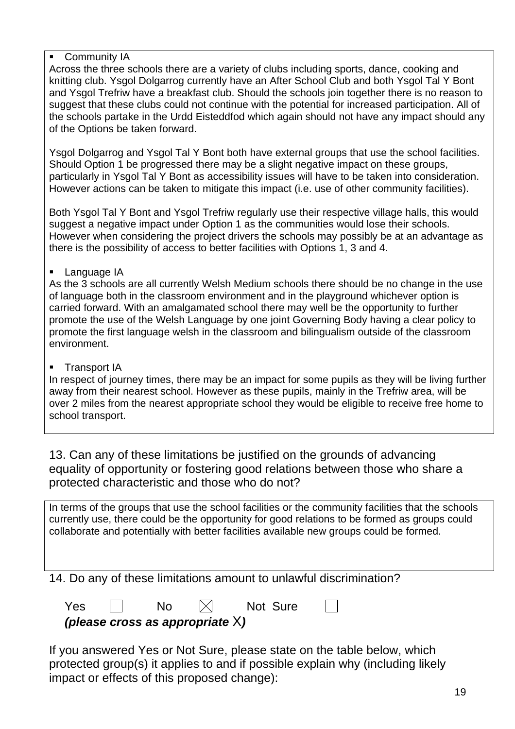#### **Community IA**

Across the three schools there are a variety of clubs including sports, dance, cooking and knitting club. Ysgol Dolgarrog currently have an After School Club and both Ysgol Tal Y Bont and Ysgol Trefriw have a breakfast club. Should the schools join together there is no reason to suggest that these clubs could not continue with the potential for increased participation. All of the schools partake in the Urdd Eisteddfod which again should not have any impact should any of the Options be taken forward.

Ysgol Dolgarrog and Ysgol Tal Y Bont both have external groups that use the school facilities. Should Option 1 be progressed there may be a slight negative impact on these groups, particularly in Ysgol Tal Y Bont as accessibility issues will have to be taken into consideration. However actions can be taken to mitigate this impact (i.e. use of other community facilities).

Both Ysgol Tal Y Bont and Ysgol Trefriw regularly use their respective village halls, this would suggest a negative impact under Option 1 as the communities would lose their schools. However when considering the project drivers the schools may possibly be at an advantage as there is the possibility of access to better facilities with Options 1, 3 and 4.

**Language IA** 

As the 3 schools are all currently Welsh Medium schools there should be no change in the use of language both in the classroom environment and in the playground whichever option is carried forward. With an amalgamated school there may well be the opportunity to further promote the use of the Welsh Language by one joint Governing Body having a clear policy to promote the first language welsh in the classroom and bilingualism outside of the classroom environment.

#### Transport IA

In respect of journey times, there may be an impact for some pupils as they will be living further away from their nearest school. However as these pupils, mainly in the Trefriw area, will be over 2 miles from the nearest appropriate school they would be eligible to receive free home to school transport.

13. Can any of these limitations be justified on the grounds of advancing equality of opportunity or fostering good relations between those who share a protected characteristic and those who do not?

In terms of the groups that use the school facilities or the community facilities that the schools currently use, there could be the opportunity for good relations to be formed as groups could collaborate and potentially with better facilities available new groups could be formed.

14. Do any of these limitations amount to unlawful discrimination?

 $Yes \t N$  No  $X$  Not Sure

#### *(please cross as appropriate* X*)*

If you answered Yes or Not Sure, please state on the table below, which protected group(s) it applies to and if possible explain why (including likely impact or effects of this proposed change):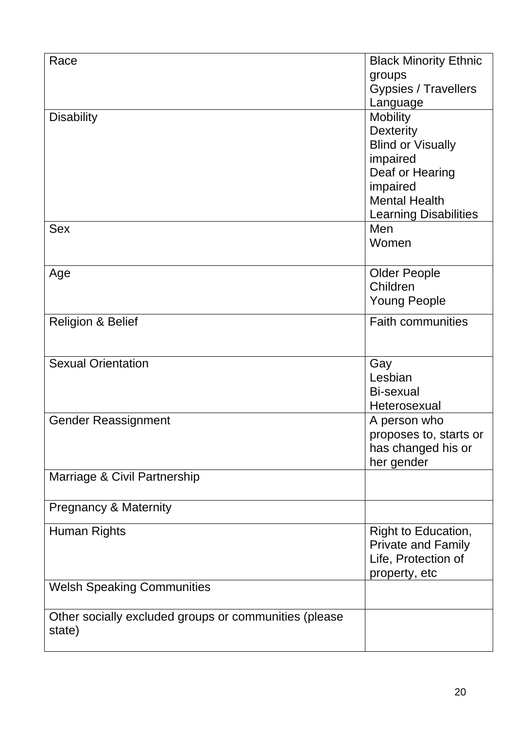| Race                                                  | <b>Black Minority Ethnic</b> |
|-------------------------------------------------------|------------------------------|
|                                                       | groups                       |
|                                                       | Gypsies / Travellers         |
|                                                       | Language                     |
| <b>Disability</b>                                     | <b>Mobility</b>              |
|                                                       | <b>Dexterity</b>             |
|                                                       | <b>Blind or Visually</b>     |
|                                                       | impaired                     |
|                                                       | Deaf or Hearing              |
|                                                       | impaired                     |
|                                                       | <b>Mental Health</b>         |
|                                                       | <b>Learning Disabilities</b> |
| <b>Sex</b>                                            | Men                          |
|                                                       | Women                        |
|                                                       |                              |
| Age                                                   | <b>Older People</b>          |
|                                                       | Children                     |
|                                                       | <b>Young People</b>          |
|                                                       |                              |
| <b>Religion &amp; Belief</b>                          | <b>Faith communities</b>     |
|                                                       |                              |
| <b>Sexual Orientation</b>                             | Gay                          |
|                                                       | Lesbian                      |
|                                                       | Bi-sexual                    |
|                                                       | Heterosexual                 |
|                                                       |                              |
| <b>Gender Reassignment</b>                            | A person who                 |
|                                                       | proposes to, starts or       |
|                                                       | has changed his or           |
|                                                       | her gender                   |
| Marriage & Civil Partnership                          |                              |
| <b>Pregnancy &amp; Maternity</b>                      |                              |
|                                                       |                              |
| Human Rights                                          | Right to Education,          |
|                                                       | <b>Private and Family</b>    |
|                                                       | Life, Protection of          |
|                                                       | property, etc                |
| <b>Welsh Speaking Communities</b>                     |                              |
|                                                       |                              |
| Other socially excluded groups or communities (please |                              |
| state)                                                |                              |
|                                                       |                              |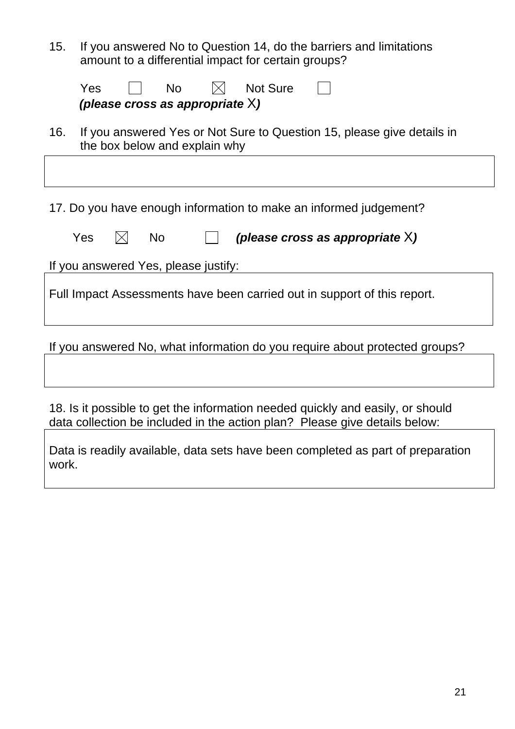15. If you answered No to Question 14, do the barriers and limitations amount to a differential impact for certain groups?

|     | <b>Yes</b>                                                                                              |           | No.<br>(please cross as appropriate $X$ ) |  | <b>Not Sure</b> |                                                                             |
|-----|---------------------------------------------------------------------------------------------------------|-----------|-------------------------------------------|--|-----------------|-----------------------------------------------------------------------------|
| 16. | If you answered Yes or Not Sure to Question 15, please give details in<br>the box below and explain why |           |                                           |  |                 |                                                                             |
|     |                                                                                                         |           |                                           |  |                 |                                                                             |
|     |                                                                                                         |           |                                           |  |                 | 17. Do you have enough information to make an informed judgement?           |
|     | Yes                                                                                                     | <b>No</b> |                                           |  |                 | (please cross as appropriate $X$ )                                          |
|     |                                                                                                         |           | If you answered Yes, please justify:      |  |                 |                                                                             |
|     |                                                                                                         |           |                                           |  |                 | Full Impact Assessments have been carried out in support of this report.    |
|     |                                                                                                         |           |                                           |  |                 | If you answered No, what information do you require about protected groups? |

18. Is it possible to get the information needed quickly and easily, or should data collection be included in the action plan? Please give details below:

Data is readily available, data sets have been completed as part of preparation work.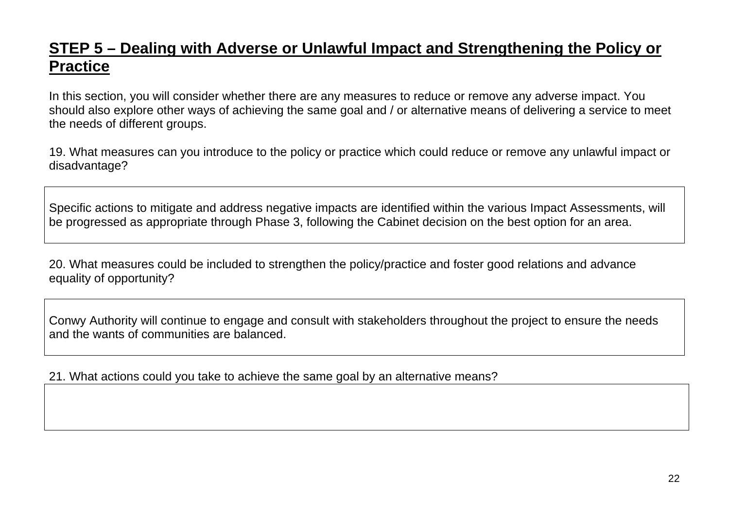# **STEP 5 – Dealing with Adverse or Unlawful Impact and Strengthening the Policy or Practice**

In this section, you will consider whether there are any measures to reduce or remove any adverse impact. You should also explore other ways of achieving the same goal and / or alternative means of delivering a service to meet the needs of different groups.

19. What measures can you introduce to the policy or practice which could reduce or remove any unlawful impact or disadvantage?

Specific actions to mitigate and address negative impacts are identified within the various Impact Assessments, will be progressed as appropriate through Phase 3, following the Cabinet decision on the best option for an area.

20. What measures could be included to strengthen the policy/practice and foster good relations and advance equality of opportunity?

Conwy Authority will continue to engage and consult with stakeholders throughout the project to ensure the needs and the wants of communities are balanced.

21. What actions could you take to achieve the same goal by an alternative means?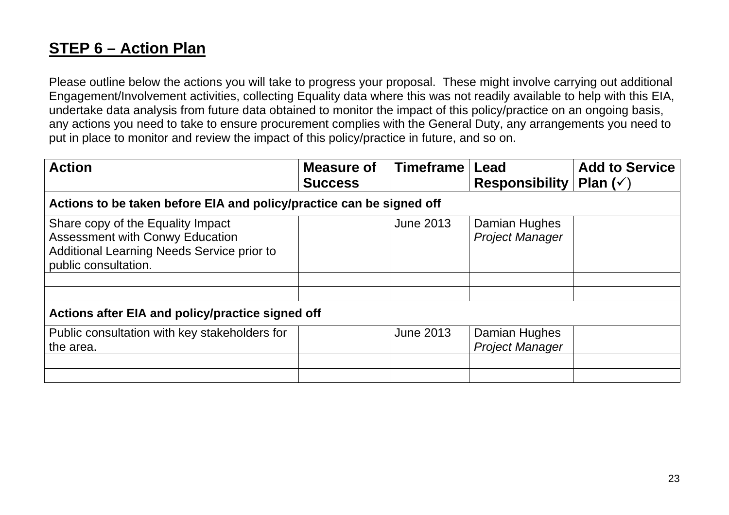# **STEP 6 – Action Plan**

Please outline below the actions you will take to progress your proposal. These might involve carrying out additional Engagement/Involvement activities, collecting Equality data where this was not readily available to help with this EIA, undertake data analysis from future data obtained to monitor the impact of this policy/practice on an ongoing basis, any actions you need to take to ensure procurement complies with the General Duty, any arrangements you need to put in place to monitor and review the impact of this policy/practice in future, and so on.

| <b>Action</b>                                                                                                                                     | Measure of<br><b>Success</b>                                         | Timeframe        | Lead<br><b>Responsibility</b>           | <b>Add to Service</b><br>Plan $(\check{v})$ |  |  |  |  |
|---------------------------------------------------------------------------------------------------------------------------------------------------|----------------------------------------------------------------------|------------------|-----------------------------------------|---------------------------------------------|--|--|--|--|
|                                                                                                                                                   | Actions to be taken before EIA and policy/practice can be signed off |                  |                                         |                                             |  |  |  |  |
| Share copy of the Equality Impact<br><b>Assessment with Conwy Education</b><br>Additional Learning Needs Service prior to<br>public consultation. |                                                                      | <b>June 2013</b> | Damian Hughes<br><b>Project Manager</b> |                                             |  |  |  |  |
| Actions after EIA and policy/practice signed off                                                                                                  |                                                                      |                  |                                         |                                             |  |  |  |  |
| Public consultation with key stakeholders for<br>the area.                                                                                        |                                                                      | <b>June 2013</b> | Damian Hughes<br><b>Project Manager</b> |                                             |  |  |  |  |
|                                                                                                                                                   |                                                                      |                  |                                         |                                             |  |  |  |  |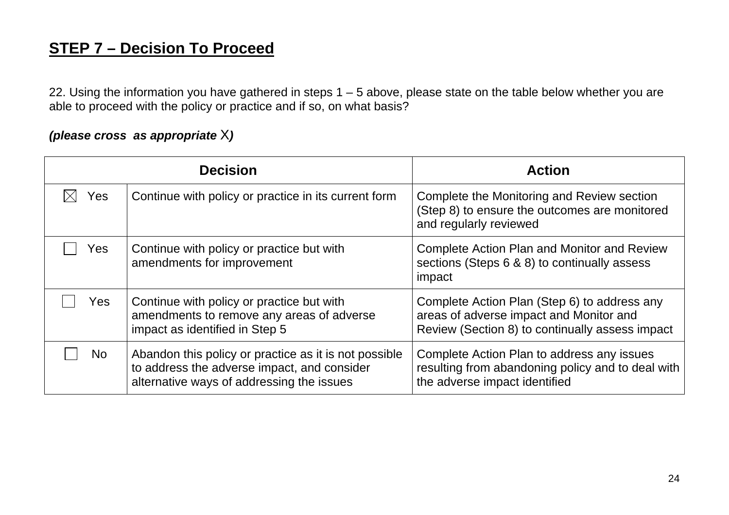### **STEP 7 – Decision To Proceed**

22. Using the information you have gathered in steps 1 – 5 above, please state on the table below whether you are able to proceed with the policy or practice and if so, on what basis?

### *(please cross as appropriate* X*)*

|            | <b>Decision</b>                                                                                                                                   | <b>Action</b>                                                                                                                              |
|------------|---------------------------------------------------------------------------------------------------------------------------------------------------|--------------------------------------------------------------------------------------------------------------------------------------------|
| <b>Yes</b> | Continue with policy or practice in its current form                                                                                              | Complete the Monitoring and Review section<br>(Step 8) to ensure the outcomes are monitored<br>and regularly reviewed                      |
| Yes        | Continue with policy or practice but with<br>amendments for improvement                                                                           | <b>Complete Action Plan and Monitor and Review</b><br>sections (Steps 6 & 8) to continually assess<br>impact                               |
| Yes        | Continue with policy or practice but with<br>amendments to remove any areas of adverse<br>impact as identified in Step 5                          | Complete Action Plan (Step 6) to address any<br>areas of adverse impact and Monitor and<br>Review (Section 8) to continually assess impact |
| No         | Abandon this policy or practice as it is not possible<br>to address the adverse impact, and consider<br>alternative ways of addressing the issues | Complete Action Plan to address any issues<br>resulting from abandoning policy and to deal with<br>the adverse impact identified           |